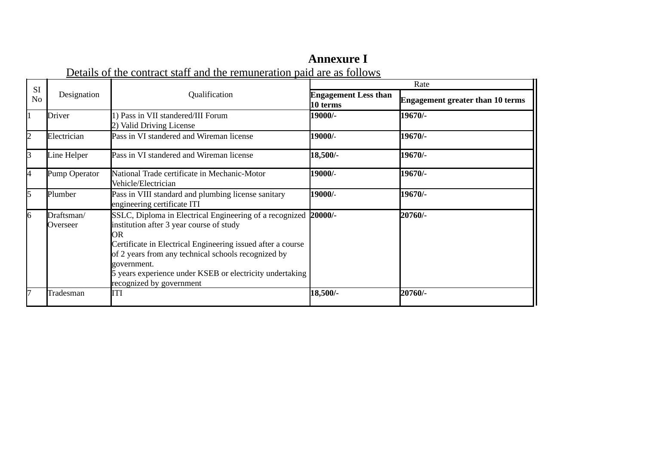## **Annexure I**

Details of the contract staff and the remuneration paid are as follows

| <b>SI</b>      |                        |                                                                                                                                                                                                                                                                                                                                         | Rate                                    |                                         |  |
|----------------|------------------------|-----------------------------------------------------------------------------------------------------------------------------------------------------------------------------------------------------------------------------------------------------------------------------------------------------------------------------------------|-----------------------------------------|-----------------------------------------|--|
| N <sub>0</sub> | Designation            | Qualification                                                                                                                                                                                                                                                                                                                           | <b>Engagement Less than</b><br>10 terms | <b>Engagement greater than 10 terms</b> |  |
|                | Driver                 | 1) Pass in VII standered/III Forum<br>2) Valid Driving License                                                                                                                                                                                                                                                                          | 19000/-                                 | 19670/-                                 |  |
| $\overline{2}$ | Electrician            | Pass in VI standered and Wireman license                                                                                                                                                                                                                                                                                                | 19000/-                                 | 19670/-                                 |  |
| З              | Line Helper            | Pass in VI standered and Wireman license                                                                                                                                                                                                                                                                                                | 18,500/-                                | 19670/-                                 |  |
| 4              | Pump Operator          | National Trade certificate in Mechanic-Motor<br>Vehicle/Electrician                                                                                                                                                                                                                                                                     | 19000/-                                 | 19670/-                                 |  |
| 5              | Plumber                | Pass in VIII standard and plumbing license sanitary<br>engineering certificate ITI                                                                                                                                                                                                                                                      | 19000/-                                 | 19670/-                                 |  |
| 6              | Draftsman/<br>Overseer | SSLC, Diploma in Electrical Engineering of a recognized<br>institution after 3 year course of study<br>OR.<br>Certificate in Electrical Engineering issued after a course<br>of 2 years from any technical schools recognized by<br>government.<br>5 years experience under KSEB or electricity undertaking<br>recognized by government | 20000/-                                 | 20760/-                                 |  |
| 7              | Tradesman              | ITI                                                                                                                                                                                                                                                                                                                                     | 18,500/-                                | 20760/-                                 |  |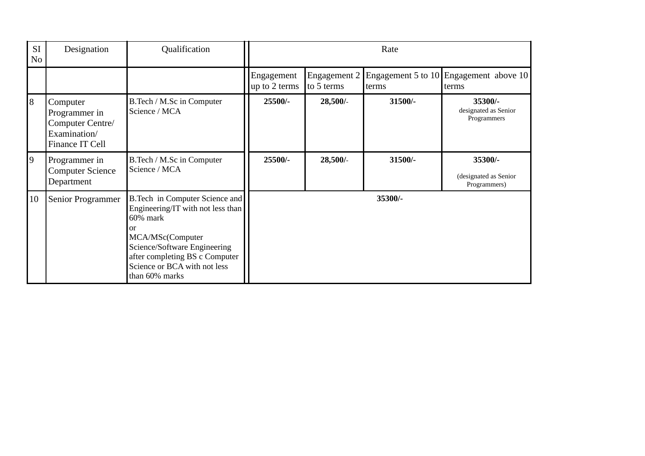| SI<br>No | Designation                                                                      | Qualification                                                                                                                                                                                                                  | Rate                        |            |         |                                                              |
|----------|----------------------------------------------------------------------------------|--------------------------------------------------------------------------------------------------------------------------------------------------------------------------------------------------------------------------------|-----------------------------|------------|---------|--------------------------------------------------------------|
|          |                                                                                  |                                                                                                                                                                                                                                | Engagement<br>up to 2 terms | to 5 terms | lterms  | Engagement 2 Engagement 5 to 10 Engagement above 10<br>terms |
| 8        | Computer<br>Programmer in<br>Computer Centre/<br>Examination/<br>Finance IT Cell | B.Tech / M.Sc in Computer<br>Science / MCA                                                                                                                                                                                     | $25500/-$                   | 28,500/    | 31500/- | 35300/-<br>designated as Senior<br>Programmers               |
| 9        | Programmer in<br><b>Computer Science</b><br>Department                           | B.Tech / M.Sc in Computer<br>Science / MCA                                                                                                                                                                                     | 25500/-                     | 28,500/    | 31500/- | 35300/-<br>(designated as Senior<br>Programmers)             |
| 10       | Senior Programmer                                                                | B. Tech in Computer Science and<br>Engineering/IT with not less than<br>60% mark<br>or<br>MCA/MSc(Computer<br>Science/Software Engineering<br>after completing BS c Computer<br>Science or BCA with not less<br>than 60% marks |                             |            | 35300/- |                                                              |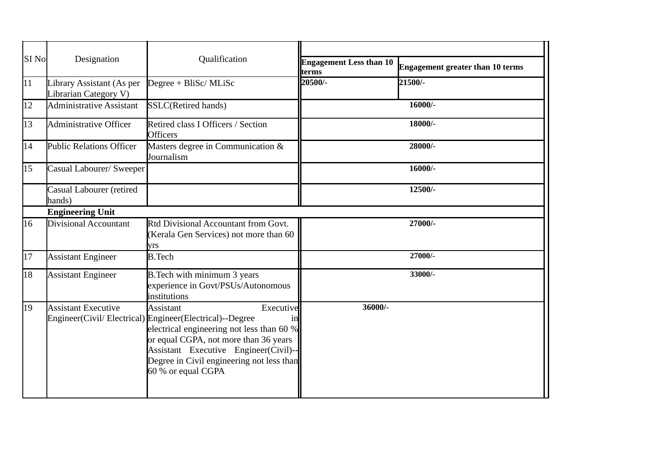| SI No      | Designation                                        | Qualification                                                                                                                                                                                                                                                                              | <b>Engagement Less than 10</b> | Engagement greater than 10 terms |
|------------|----------------------------------------------------|--------------------------------------------------------------------------------------------------------------------------------------------------------------------------------------------------------------------------------------------------------------------------------------------|--------------------------------|----------------------------------|
| $\vert$ 11 | Library Assistant (As per<br>Librarian Category V) | Degree + BliSc/ MLiSc                                                                                                                                                                                                                                                                      | terms<br>20500/-               | 21500/-                          |
| 12         | <b>Administrative Assistant</b>                    | SSLC(Retired hands)                                                                                                                                                                                                                                                                        |                                | 16000/-                          |
| 13         | Administrative Officer                             | Retired class I Officers / Section<br><b>Officers</b>                                                                                                                                                                                                                                      |                                | 18000/-                          |
| 14         | <b>Public Relations Officer</b>                    | Masters degree in Communication &<br>Journalism                                                                                                                                                                                                                                            |                                | 28000/-                          |
| 15         | Casual Labourer/ Sweeper                           |                                                                                                                                                                                                                                                                                            |                                | 16000/-                          |
|            | Casual Labourer (retired<br>hands)                 |                                                                                                                                                                                                                                                                                            |                                | 12500/-                          |
|            | <b>Engineering Unit</b>                            |                                                                                                                                                                                                                                                                                            |                                |                                  |
| 16         | Divisional Accountant                              | Rtd Divisional Accountant from Govt.<br>(Kerala Gen Services) not more than 60<br>yrs                                                                                                                                                                                                      |                                | 27000/-                          |
| 17         | <b>Assistant Engineer</b>                          | <b>B.Tech</b>                                                                                                                                                                                                                                                                              |                                | 27000/-                          |
| 18         | <b>Assistant Engineer</b>                          | B. Tech with minimum 3 years<br>experience in Govt/PSUs/Autonomous<br>institutions                                                                                                                                                                                                         |                                | 33000/-                          |
| 19         | <b>Assistant Executive</b>                         | Executive<br><b>Assistant</b><br>Engineer(Civil/Electrical) Engineer(Electrical)--Degree<br>electrical engineering not less than 60 %<br>or equal CGPA, not more than 36 years<br>Assistant Executive Engineer(Civil)--<br>Degree in Civil engineering not less than<br>60 % or equal CGPA | 36000/-                        |                                  |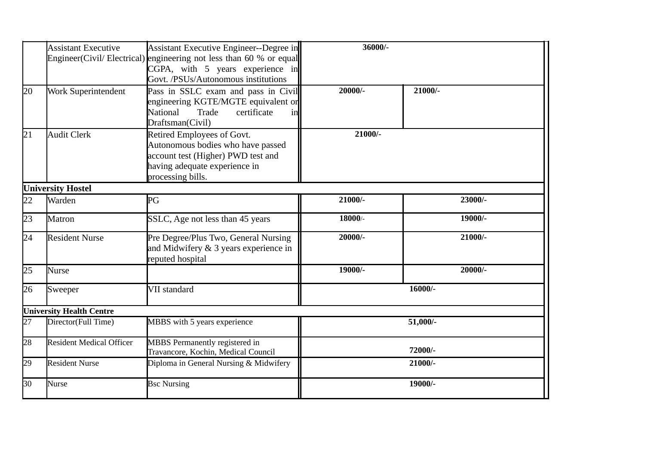|    | <b>Assistant Executive</b>                          | Assistant Executive Engineer--Degree in<br>Engineer(Civil/Electrical) engineering not less than 60 % or equal<br>$CGPA$ , with 5 years experience in<br>Govt. /PSUs/Autonomous institutions | 36000/-   |            |
|----|-----------------------------------------------------|---------------------------------------------------------------------------------------------------------------------------------------------------------------------------------------------|-----------|------------|
| 20 | Work Superintendent                                 | Pass in SSLC exam and pass in Civil<br>engineering KGTE/MGTE equivalent or<br>certificate<br>National<br>Trade<br>inl<br>Draftsman(Civil)                                                   | 20000/-   | $21000/-$  |
| 21 | <b>Audit Clerk</b>                                  | Retired Employees of Govt.<br>Autonomous bodies who have passed<br>account test (Higher) PWD test and<br>having adequate experience in<br>processing bills.                                 | $21000/-$ |            |
|    | <b>University Hostel</b>                            |                                                                                                                                                                                             |           |            |
| 22 | Warden                                              | PG                                                                                                                                                                                          | 21000/-   | 23000/-    |
| 23 | <b>Matron</b>                                       | SSLC, Age not less than 45 years                                                                                                                                                            | 18000/-   | 19000/-    |
| 24 | <b>Resident Nurse</b>                               | Pre Degree/Plus Two, General Nursing<br>and Midwifery & 3 years experience in<br>reputed hospital                                                                                           | 20000/-   | $21000/-$  |
| 25 | <b>Nurse</b>                                        |                                                                                                                                                                                             | 19000/-   | $20000/-$  |
| 26 | Sweeper                                             | VII standard                                                                                                                                                                                |           | 16000/-    |
|    | <b>University Health Centre</b>                     |                                                                                                                                                                                             |           |            |
| 27 | Director(Full Time)<br>MBBS with 5 years experience |                                                                                                                                                                                             |           | $51,000/-$ |
| 28 | <b>Resident Medical Officer</b>                     | MBBS Permanently registered in<br>Travancore, Kochin, Medical Council                                                                                                                       | 72000/-   |            |
| 29 | <b>Resident Nurse</b>                               | Diploma in General Nursing & Midwifery                                                                                                                                                      | 21000/-   |            |
| 30 | <b>Nurse</b>                                        | <b>Bsc Nursing</b>                                                                                                                                                                          |           | 19000/-    |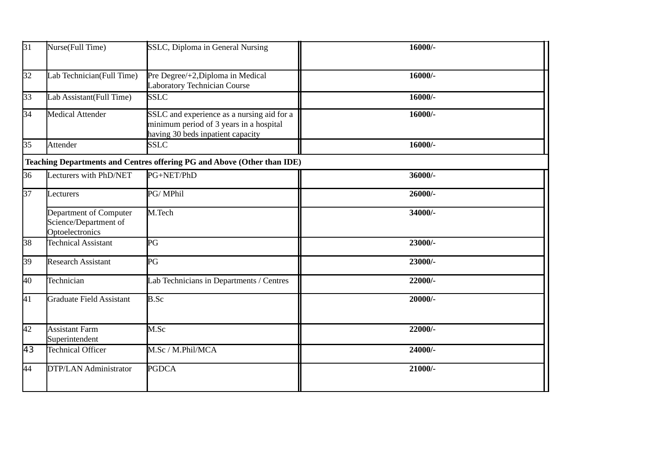| 31              | Nurse(Full Time)                                                   | SSLC, Diploma in General Nursing                                                                                           | 16000/- |
|-----------------|--------------------------------------------------------------------|----------------------------------------------------------------------------------------------------------------------------|---------|
| 32              | Lab Technician(Full Time)                                          | Pre Degree/+2, Diploma in Medical<br>Laboratory Technician Course                                                          | 16000/- |
| 33              | Lab Assistant(Full Time)                                           | <b>SSLC</b>                                                                                                                | 16000/- |
| 34              | <b>Medical Attender</b>                                            | SSLC and experience as a nursing aid for a<br>minimum period of 3 years in a hospital<br>having 30 beds inpatient capacity | 16000/- |
| 35              | <b>Attender</b>                                                    | <b>SSLC</b>                                                                                                                | 16000/- |
|                 |                                                                    | <b>Teaching Departments and Centres offering PG and Above (Other than IDE)</b>                                             |         |
| 36              | Lecturers with PhD/NET                                             | PG+NET/PhD                                                                                                                 | 36000/- |
| 37              | Lecturers                                                          | PG/MPhil                                                                                                                   | 26000/- |
|                 | Department of Computer<br>Science/Department of<br>Optoelectronics | M.Tech                                                                                                                     | 34000/- |
| 38              | <b>Technical Assistant</b>                                         | PG                                                                                                                         | 23000/- |
| 39              | <b>Research Assistant</b>                                          | PG                                                                                                                         | 23000/- |
| 40              | Technician                                                         | Lab Technicians in Departments / Centres                                                                                   | 22000/- |
| 41              | <b>Graduate Field Assistant</b>                                    | <b>B.Sc</b>                                                                                                                | 20000/- |
| 42              | <b>Assistant Farm</b><br>Superintendent                            | M.Sc                                                                                                                       | 22000/- |
| $\overline{43}$ | <b>Technical Officer</b>                                           | M.Sc / M.Phil/MCA                                                                                                          | 24000/- |
| 44              | DTP/LAN Administrator                                              | <b>PGDCA</b>                                                                                                               | 21000/- |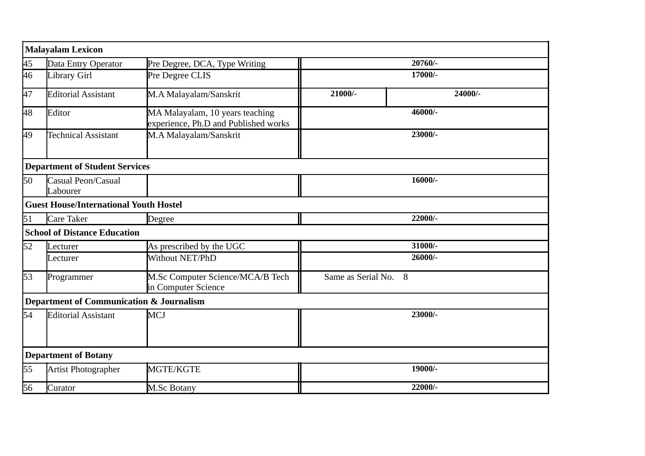|                 | <b>Malayalam Lexicon</b>                            |                                                                         |                      |         |  |
|-----------------|-----------------------------------------------------|-------------------------------------------------------------------------|----------------------|---------|--|
| $\overline{45}$ | Data Entry Operator                                 | Pre Degree, DCA, Type Writing                                           | 20760/-              |         |  |
| 46              | Library Girl                                        | Pre Degree CLIS                                                         | 17000/-              |         |  |
| 47              | <b>Editorial Assistant</b>                          | M.A Malayalam/Sanskrit                                                  | $21000/-$            | 24000/- |  |
| 48              | Editor                                              | MA Malayalam, 10 years teaching<br>experience, Ph.D and Published works | 46000/-              |         |  |
| 49              | <b>Technical Assistant</b>                          | M.A Malayalam/Sanskrit                                                  | 23000/-              |         |  |
|                 | <b>Department of Student Services</b>               |                                                                         |                      |         |  |
| 50              | Casual Peon/Casual<br>Labourer                      |                                                                         |                      | 16000/- |  |
|                 | <b>Guest House/International Youth Hostel</b>       |                                                                         |                      |         |  |
| 51              | <b>Care Taker</b>                                   | Degree                                                                  | 22000/-              |         |  |
|                 | <b>School of Distance Education</b>                 |                                                                         |                      |         |  |
| 52              | Lecturer                                            | As prescribed by the UGC                                                |                      | 31000/- |  |
|                 | Lecturer                                            | Without NET/PhD                                                         |                      | 26000/- |  |
| 53              | Programmer                                          | M.Sc Computer Science/MCA/B Tech<br>in Computer Science                 | Same as Serial No. 8 |         |  |
|                 | <b>Department of Communication &amp; Journalism</b> |                                                                         |                      |         |  |
| 54              | <b>Editorial Assistant</b>                          | <b>MCJ</b>                                                              | 23000/-              |         |  |
|                 | <b>Department of Botany</b>                         |                                                                         |                      |         |  |
| 55              | Artist Photographer                                 | MGTE/KGTE                                                               | 19000/-              |         |  |
| 56              | Curator                                             | <b>M.Sc Botany</b>                                                      |                      | 22000/- |  |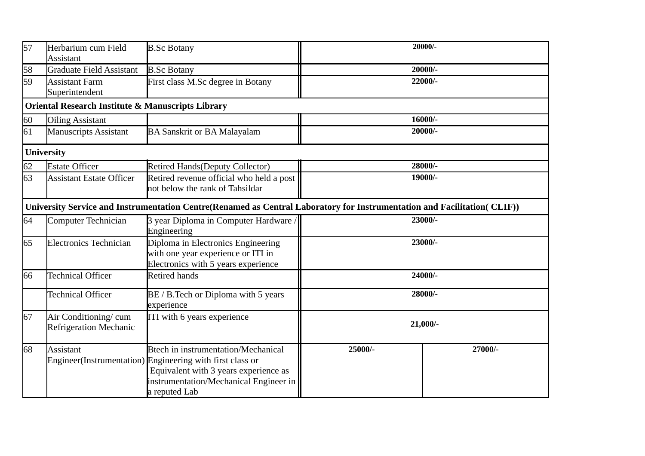| 57 | Herbarium cum Field<br><b>Assistant</b>           | <b>B.Sc Botany</b>                                                                                                                                                                                   | 20000/-   |           |  |
|----|---------------------------------------------------|------------------------------------------------------------------------------------------------------------------------------------------------------------------------------------------------------|-----------|-----------|--|
| 58 | <b>Graduate Field Assistant</b>                   | <b>B.Sc Botany</b>                                                                                                                                                                                   | $20000/-$ |           |  |
| 59 | <b>Assistant Farm</b><br>Superintendent           | First class M.Sc degree in Botany                                                                                                                                                                    |           | 22000/-   |  |
|    | Oriental Research Institute & Manuscripts Library |                                                                                                                                                                                                      |           |           |  |
| 60 | <b>Oiling Assistant</b>                           |                                                                                                                                                                                                      |           | 16000/-   |  |
| 61 | <b>Manuscripts Assistant</b>                      | <b>BA Sanskrit or BA Malayalam</b>                                                                                                                                                                   |           | $20000/-$ |  |
|    | <b>University</b>                                 |                                                                                                                                                                                                      |           |           |  |
| 62 | <b>Estate Officer</b>                             | <b>Retired Hands (Deputy Collector)</b>                                                                                                                                                              |           | 28000/-   |  |
| 63 | <b>Assistant Estate Officer</b>                   | Retired revenue official who held a post<br>not below the rank of Tahsildar                                                                                                                          | 19000/-   |           |  |
|    |                                                   | University Service and Instrumentation Centre(Renamed as Central Laboratory for Instrumentation and Facilitation(CLIF))                                                                              |           |           |  |
| 64 | <b>Computer Technician</b>                        | 3 year Diploma in Computer Hardware /<br>Engineering                                                                                                                                                 | 23000/-   |           |  |
| 65 | <b>Electronics Technician</b>                     | Diploma in Electronics Engineering<br>with one year experience or ITI in<br>Electronics with 5 years experience                                                                                      |           | 23000/-   |  |
| 66 | <b>Technical Officer</b>                          | <b>Retired hands</b>                                                                                                                                                                                 | 24000/-   |           |  |
|    | <b>Technical Officer</b>                          | BE / B. Tech or Diploma with 5 years<br>experience                                                                                                                                                   |           | 28000/-   |  |
| 67 | Air Conditioning/cum<br>Refrigeration Mechanic    | ITI with 6 years experience                                                                                                                                                                          | 21,000/-  |           |  |
| 68 | <b>Assistant</b>                                  | Btech in instrumentation/Mechanical<br>Engineer(Instrumentation) Engineering with first class or<br>Equivalent with 3 years experience as<br>instrumentation/Mechanical Engineer in<br>a reputed Lab | 25000/-   | 27000/-   |  |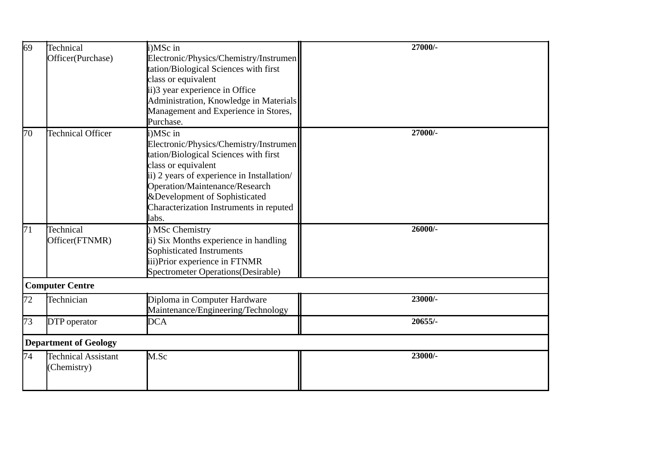| 69 | Technical                    | i)MSc in                                   | 27000/- |
|----|------------------------------|--------------------------------------------|---------|
|    | Officer(Purchase)            | Electronic/Physics/Chemistry/Instrumen     |         |
|    |                              | tation/Biological Sciences with first      |         |
|    |                              | class or equivalent                        |         |
|    |                              | ii)3 year experience in Office             |         |
|    |                              | Administration, Knowledge in Materials     |         |
|    |                              | Management and Experience in Stores,       |         |
|    |                              | Purchase.                                  |         |
| 70 | Technical Officer            | i)MSc in                                   | 27000/- |
|    |                              | Electronic/Physics/Chemistry/Instrumen     |         |
|    |                              | tation/Biological Sciences with first      |         |
|    |                              | class or equivalent                        |         |
|    |                              | ii) 2 years of experience in Installation/ |         |
|    |                              | Operation/Maintenance/Research             |         |
|    |                              | &Development of Sophisticated              |         |
|    |                              | Characterization Instruments in reputed    |         |
|    |                              | labs.                                      |         |
| 71 | Technical                    | MSc Chemistry                              | 26000/- |
|    | Officer(FTNMR)               | ii) Six Months experience in handling      |         |
|    |                              | Sophisticated Instruments                  |         |
|    |                              | iii)Prior experience in FTNMR              |         |
|    |                              | Spectrometer Operations(Desirable)         |         |
|    | <b>Computer Centre</b>       |                                            |         |
| 72 | Technician                   | Diploma in Computer Hardware               | 23000/- |
|    |                              | Maintenance/Engineering/Technology         |         |
| 73 | DTP operator                 | <b>DCA</b>                                 | 20655/- |
|    |                              |                                            |         |
|    | <b>Department of Geology</b> |                                            |         |
| 74 | Technical Assistant          | M.Sc                                       | 23000/- |
|    | Chemistry)                   |                                            |         |
|    |                              |                                            |         |
|    |                              |                                            |         |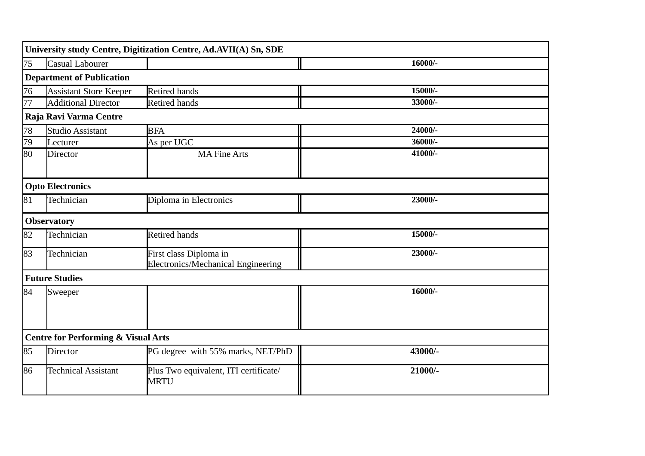|    |                                                | University study Centre, Digitization Centre, Ad.AVII(A) Sn, SDE |         |
|----|------------------------------------------------|------------------------------------------------------------------|---------|
| 75 | Casual Labourer                                |                                                                  | 16000/- |
|    | <b>Department of Publication</b>               |                                                                  |         |
| 76 | <b>Assistant Store Keeper</b>                  | <b>Retired hands</b>                                             | 15000/- |
| 77 | <b>Additional Director</b>                     | <b>Retired hands</b>                                             | 33000/- |
|    | Raja Ravi Varma Centre                         |                                                                  |         |
| 78 | <b>Studio Assistant</b>                        | <b>BFA</b>                                                       | 24000/- |
| 79 | Lecturer                                       | As per UGC                                                       | 36000/- |
| 80 | <b>Director</b>                                | <b>MA Fine Arts</b>                                              | 41000/- |
|    | <b>Opto Electronics</b>                        |                                                                  |         |
| 81 | Technician                                     | Diploma in Electronics                                           | 23000/- |
|    | <b>Observatory</b>                             |                                                                  |         |
| 82 | Technician                                     | Retired hands                                                    | 15000/- |
| 83 | Technician                                     | First class Diploma in<br>Electronics/Mechanical Engineering     | 23000/- |
|    | <b>Future Studies</b>                          |                                                                  |         |
| 84 | Sweeper                                        |                                                                  | 16000/- |
|    | <b>Centre for Performing &amp; Visual Arts</b> |                                                                  |         |
| 85 | Director                                       | PG degree with 55% marks, NET/PhD                                | 43000/- |
| 86 | <b>Technical Assistant</b>                     | Plus Two equivalent, ITI certificate/<br><b>MRTU</b>             | 21000/- |